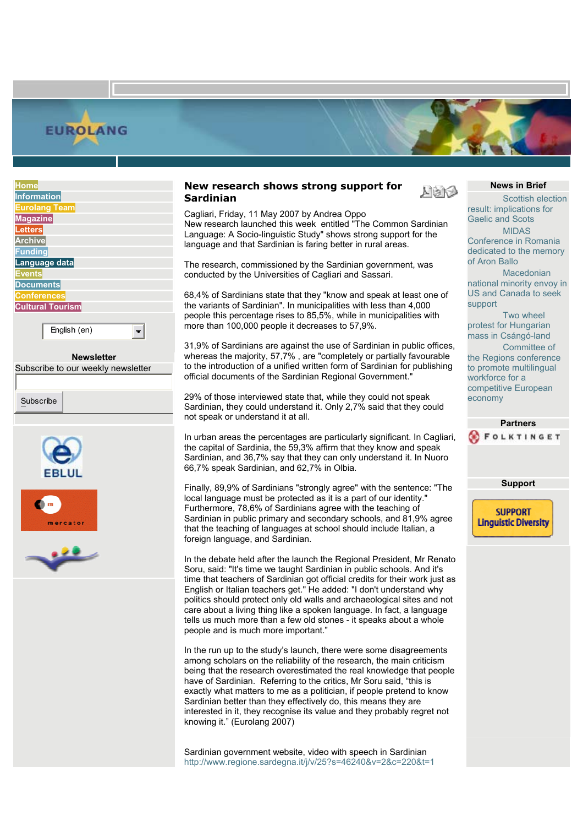

| <b>Home</b>                                                 |
|-------------------------------------------------------------|
| <b>Information</b>                                          |
| <b>Eurolang Team</b>                                        |
| <b>Magazine</b>                                             |
| <b>Letters</b>                                              |
| <b>Archive</b>                                              |
| <b>Funding</b>                                              |
| Language data                                               |
| <b>Events</b>                                               |
| <b>Documents</b>                                            |
| <b>Conferences</b>                                          |
| <b>Cultural Tourism</b>                                     |
|                                                             |
| English (en)                                                |
|                                                             |
|                                                             |
| <b>Newsletter</b>                                           |
| $\sim$ $\blacksquare$<br>$\blacksquare$<br>1.11<br>$\cdots$ |

Subscribe to our weekly newsletter

Subscribe







**Home** | **Site Map** | **Contact** | **Advertising** | **Republishing and copyright** | **Support Eurolang** | **RSS** | **Login**

Cagliari, Friday, 11 May 2007 by Andrea Oppo New research launched this week entitled "The Common Sardinian Language: A Socio-linguistic Study" shows strong support for the language and that Sardinian is faring better in rural areas.

The research, commissioned by the Sardinian government, was conducted by the Universities of Cagliari and Sassari.

68,4% of Sardinians state that they "know and speak at least one of the variants of Sardinian". In municipalities with less than 4,000 people this percentage rises to 85,5%, while in municipalities with more than 100,000 people it decreases to 57,9%.

31,9% of Sardinians are against the use of Sardinian in public offices, whereas the majority, 57,7% , are "completely or partially favourable to the introduction of a unified written form of Sardinian for publishing official documents of the Sardinian Regional Government."

29% of those interviewed state that, while they could not speak Sardinian, they could understand it. Only 2,7% said that they could not speak or understand it at all.

In urban areas the percentages are particularly significant. In Cagliari, the capital of Sardinia, the 59,3% affirm that they know and speak Sardinian, and 36,7% say that they can only understand it. In Nuoro 66,7% speak Sardinian, and 62,7% in Olbia.

Finally, 89,9% of Sardinians "strongly agree" with the sentence: "The local language must be protected as it is a part of our identity." Furthermore, 78,6% of Sardinians agree with the teaching of Sardinian in public primary and secondary schools, and 81,9% agree that the teaching of languages at school should include Italian, a foreign language, and Sardinian.

In the debate held after the launch the Regional President, Mr Renato Soru, said: "It's time we taught Sardinian in public schools. And it's time that teachers of Sardinian got official credits for their work just as English or Italian teachers get." He added: "I don't understand why politics should protect only old walls and archaeological sites and not care about a living thing like a spoken language. In fact, a language tells us much more than a few old stones - it speaks about a whole people and is much more important."

In the run up to the study's launch, there were some disagreements among scholars on the reliability of the research, the main criticism being that the research overestimated the real knowledge that people have of Sardinian. Referring to the critics, Mr Soru said, "this is exactly what matters to me as a politician, if people pretend to know Sardinian better than they effectively do, this means they are interested in it, they recognise its value and they probably regret not knowing it." (Eurolang 2007)

Sardinian government website, video with speech in Sardinian <http://www.regione.sardegna.it/j/v/25?s=46240&v=2&c=220&t=1>

## **News in Brief**

人はし

Scottish election result: implications for Gaelic and Scots MIDAS Conference in Romania dedicated to the memory of Aron Ballo

Macedonian national minority envoy in US and Canada to seek support

Two wheel protest for Hungarian mass in Csángó-land

Committee of the Regions conference to promote multilingual workforce for a competitive European economy



**Support** 

**SUPPORT Linguistic Diversity**